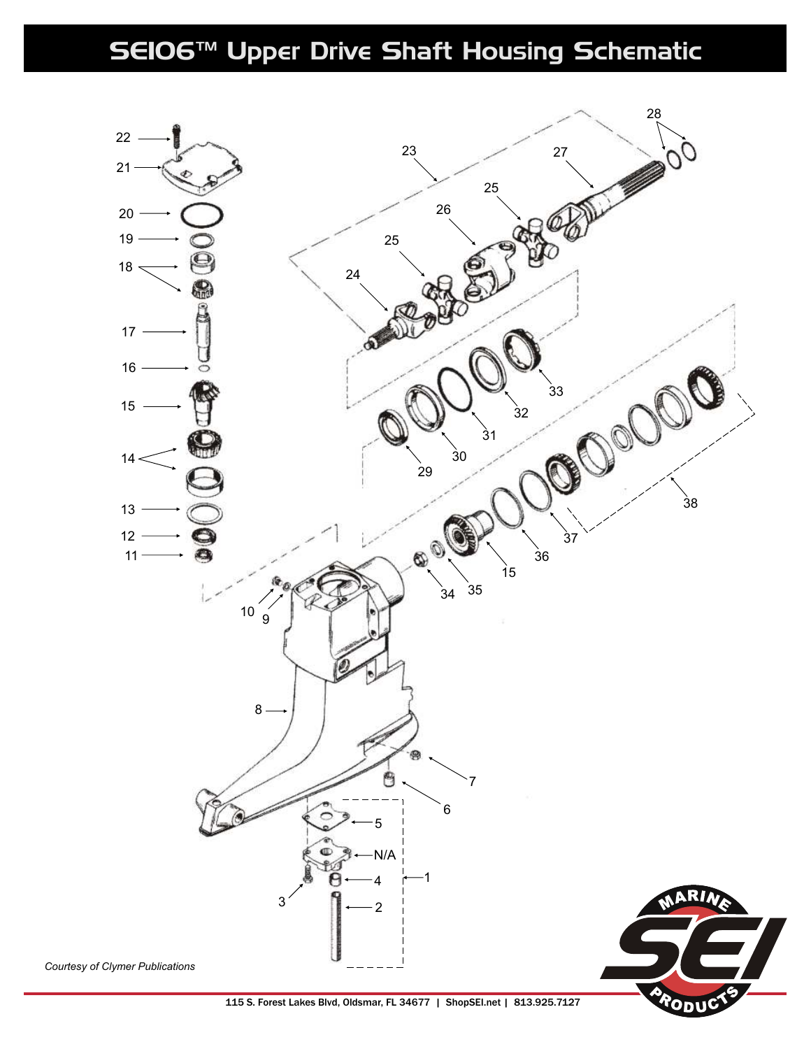## SEI06™ Upper Drive Shaft Housing Schematic



115 S. Forest Lakes Blvd, Oldsmar, FL 34677 | ShopSEI.net | 813.925.7127

ODI